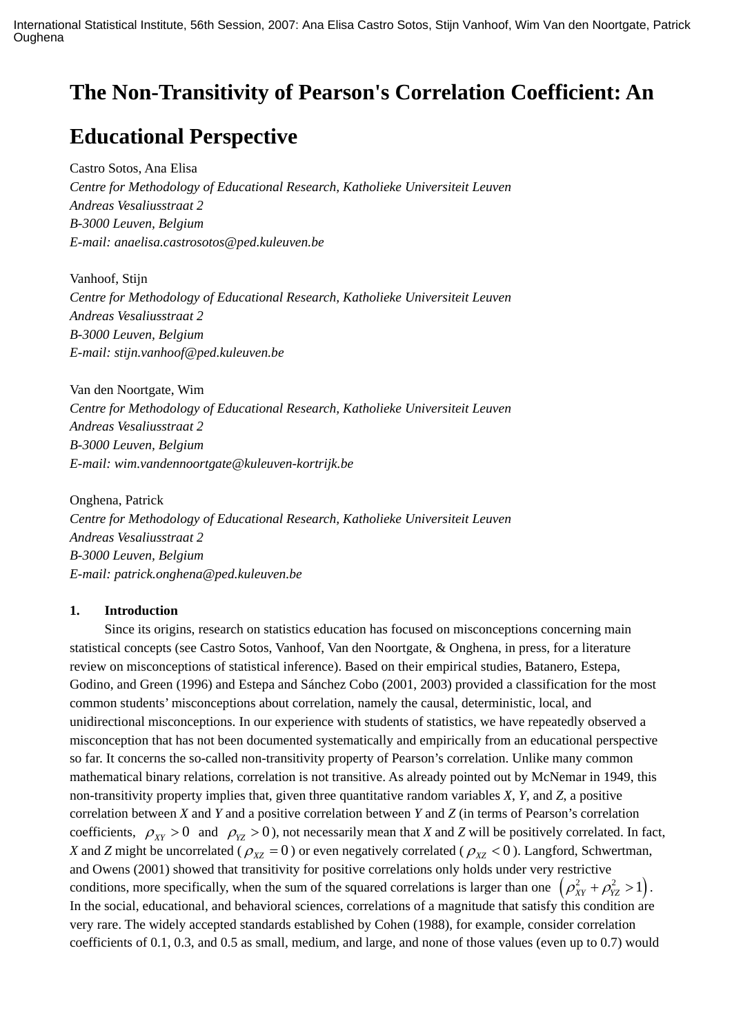# **The Non-Transitivity of Pearson's Correlation Coefficient: An**

## **Educational Perspective**

Castro Sotos, Ana Elisa *Centre for Methodology of Educational Research, Katholieke Universiteit Leuven Andreas Vesaliusstraat 2 B-3000 Leuven, Belgium E-mail: anaelisa.castrosotos@ped.kuleuven.be* 

Vanhoof, Stijn *Centre for Methodology of Educational Research, Katholieke Universiteit Leuven Andreas Vesaliusstraat 2 B-3000 Leuven, Belgium E-mail: stijn.vanhoof@ped.kuleuven.be* 

Van den Noortgate, Wim *Centre for Methodology of Educational Research, Katholieke Universiteit Leuven Andreas Vesaliusstraat 2 B-3000 Leuven, Belgium E-mail: wim.vandennoortgate@kuleuven-kortrijk.be* 

Onghena, Patrick *Centre for Methodology of Educational Research, Katholieke Universiteit Leuven Andreas Vesaliusstraat 2 B-3000 Leuven, Belgium E-mail: patrick.onghena@ped.kuleuven.be* 

### **1. Introduction**

Since its origins, research on statistics education has focused on misconceptions concerning main statistical concepts (see Castro Sotos, Vanhoof, Van den Noortgate, & Onghena, in press, for a literature review on misconceptions of statistical inference). Based on their empirical studies, Batanero, Estepa, Godino, and Green (1996) and Estepa and Sánchez Cobo (2001, 2003) provided a classification for the most common students' misconceptions about correlation, namely the causal, deterministic, local, and unidirectional misconceptions. In our experience with students of statistics, we have repeatedly observed a misconception that has not been documented systematically and empirically from an educational perspective so far. It concerns the so-called non-transitivity property of Pearson's correlation. Unlike many common mathematical binary relations, correlation is not transitive. As already pointed out by McNemar in 1949, this non-transitivity property implies that, given three quantitative random variables *X*, *Y*, and *Z*, a positive correlation between *X* and *Y* and a positive correlation between *Y* and *Z* (in terms of Pearson's correlation coefficients,  $\rho_{XY} > 0$  and  $\rho_{YZ} > 0$ ), not necessarily mean that *X* and *Z* will be positively correlated. In fact, *X* and *Z* might be uncorrelated ( $\rho_{XZ} = 0$ ) or even negatively correlated ( $\rho_{XZ} < 0$ ). Langford, Schwertman, and Owens (2001) showed that transitivity for positive correlations only holds under very restrictive conditions, more specifically, when the sum of the squared correlations is larger than one  $(\rho_{xy}^2 + \rho_{yz}^2 > 1)$ . In the social, educational, and behavioral sciences, correlations of a magnitude that satisfy this condition are very rare. The widely accepted standards established by Cohen (1988), for example, consider correlation coefficients of 0.1, 0.3, and 0.5 as small, medium, and large, and none of those values (even up to 0.7) would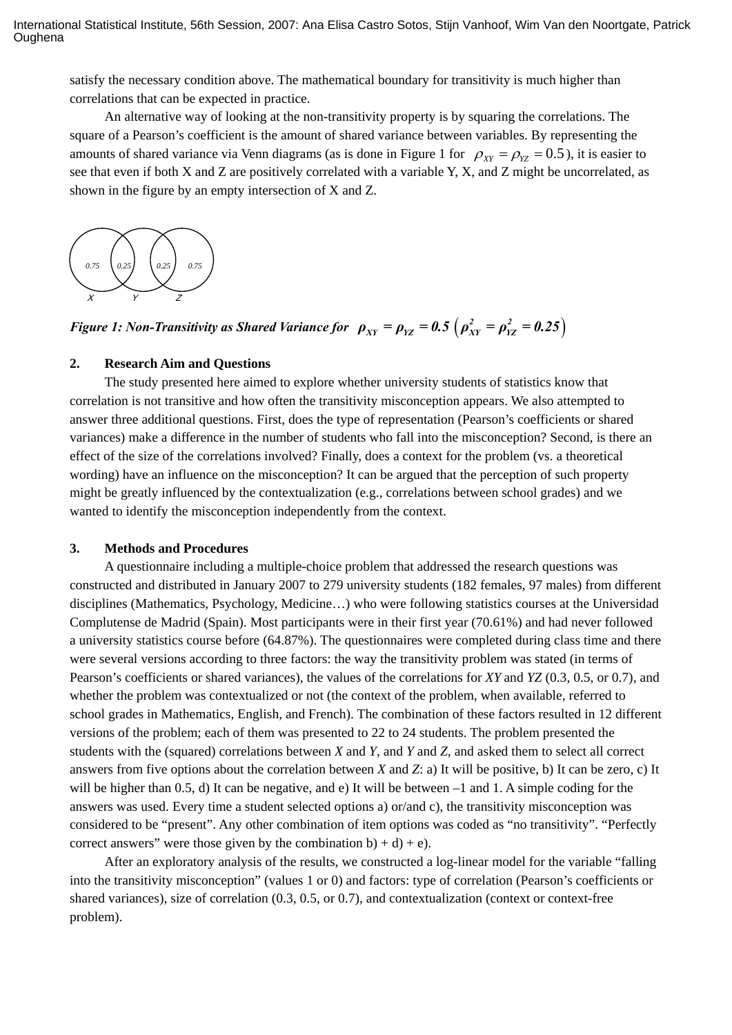satisfy the necessary condition above. The mathematical boundary for transitivity is much higher than correlations that can be expected in practice.

An alternative way of looking at the non-transitivity property is by squaring the correlations. The square of a Pearson's coefficient is the amount of shared variance between variables. By representing the amounts of shared variance via Venn diagrams (as is done in Figure 1 for  $\rho_{yy} = \rho_{yz} = 0.5$ ), it is easier to see that even if both X and Z are positively correlated with a variable Y, X, and Z might be uncorrelated, as shown in the figure by an empty intersection of X and Z.



*Figure 1: Non-Transitivity as Shared Variance for*  $\rho_{XY} = \rho_{YZ} = 0.5 \left( \rho_{XY}^2 = \rho_{YZ}^2 = 0.25 \right)$ 

### **2. Research Aim and Questions**

The study presented here aimed to explore whether university students of statistics know that correlation is not transitive and how often the transitivity misconception appears. We also attempted to answer three additional questions. First, does the type of representation (Pearson's coefficients or shared variances) make a difference in the number of students who fall into the misconception? Second, is there an effect of the size of the correlations involved? Finally, does a context for the problem (vs. a theoretical wording) have an influence on the misconception? It can be argued that the perception of such property might be greatly influenced by the contextualization (e.g., correlations between school grades) and we wanted to identify the misconception independently from the context.

#### **3. Methods and Procedures**

A questionnaire including a multiple-choice problem that addressed the research questions was constructed and distributed in January 2007 to 279 university students (182 females, 97 males) from different disciplines (Mathematics, Psychology, Medicine…) who were following statistics courses at the Universidad Complutense de Madrid (Spain). Most participants were in their first year (70.61%) and had never followed a university statistics course before (64.87%). The questionnaires were completed during class time and there were several versions according to three factors: the way the transitivity problem was stated (in terms of Pearson's coefficients or shared variances), the values of the correlations for *XY* and *YZ* (0.3, 0.5, or 0.7), and whether the problem was contextualized or not (the context of the problem, when available, referred to school grades in Mathematics, English, and French). The combination of these factors resulted in 12 different versions of the problem; each of them was presented to 22 to 24 students. The problem presented the students with the (squared) correlations between *X* and *Y*, and *Y* and *Z,* and asked them to select all correct answers from five options about the correlation between *X* and *Z*: a) It will be positive, b) It can be zero, c) It will be higher than 0.5, d) It can be negative, and e) It will be between  $-1$  and 1. A simple coding for the answers was used. Every time a student selected options a) or/and c), the transitivity misconception was considered to be "present". Any other combination of item options was coded as "no transitivity". "Perfectly correct answers" were those given by the combination b) + d) + e).

After an exploratory analysis of the results, we constructed a log-linear model for the variable "falling into the transitivity misconception" (values 1 or 0) and factors: type of correlation (Pearson's coefficients or shared variances), size of correlation (0.3, 0.5, or 0.7), and contextualization (context or context-free problem).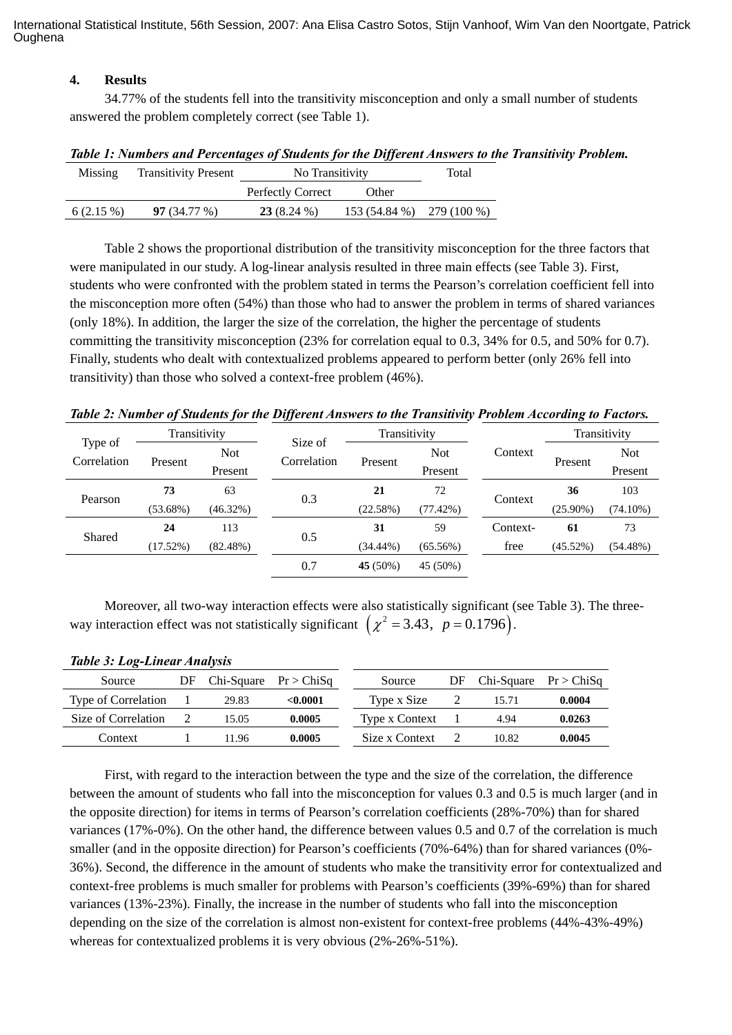International Statistical Institute, 56th Session, 2007: Ana Elisa Castro Sotos, Stijn Vanhoof, Wim Van den Noortgate, Patrick **Oughena** 

### **4. Results**

34.77% of the students fell into the transitivity misconception and only a small number of students answered the problem completely correct (see Table 1).

| Missing     | <b>Transitivity Present</b> | No Transitivity          | Total                      |  |
|-------------|-----------------------------|--------------------------|----------------------------|--|
|             |                             | <b>Perfectly Correct</b> | Other                      |  |
| $6(2.15\%)$ | 97(34.77%)                  | $23(8.24\%)$             | $153(54.84\%)$ 279 (100 %) |  |

Table 2 shows the proportional distribution of the transitivity misconception for the three factors that were manipulated in our study. A log-linear analysis resulted in three main effects (see Table 3). First, students who were confronted with the problem stated in terms the Pearson's correlation coefficient fell into the misconception more often (54%) than those who had to answer the problem in terms of shared variances (only 18%). In addition, the larger the size of the correlation, the higher the percentage of students committing the transitivity misconception (23% for correlation equal to 0.3, 34% for 0.5, and 50% for 0.7). Finally, students who dealt with contextualized problems appeared to perform better (only 26% fell into transitivity) than those who solved a context-free problem (46%).

*Table 2: Number of Students for the Different Answers to the Transitivity Problem According to Factors.* 

| Type of<br>Correlation | Transitivity |             |                        | Transitivity |             |          | Transitivity |             |
|------------------------|--------------|-------------|------------------------|--------------|-------------|----------|--------------|-------------|
|                        | Present      | <b>Not</b>  | Size of<br>Correlation |              | <b>Not</b>  | Context  | Present      | <b>Not</b>  |
|                        |              | Present     |                        | Present      | Present     |          |              | Present     |
| Pearson                | 73           | 63          | 0.3                    | 21           | 72          |          | 36           | 103         |
|                        | $(53.68\%)$  | (46.32%)    |                        | (22.58%)     | $(77.42\%)$ | Context  | $(25.90\%)$  | $(74.10\%)$ |
| Shared                 | 24           | 113         | 0.5                    | 31           | 59          | Context- | 61           | 73          |
|                        | $(17.52\%)$  | $(82.48\%)$ |                        | $(34.44\%)$  | $(65.56\%)$ | free     | $(45.52\%)$  | $(54.48\%)$ |
|                        |              |             | 0.7                    | 45 (50%)     | 45 (50%)    |          |              |             |

Moreover, all two-way interaction effects were also statistically significant (see Table 3). The threeway interaction effect was not statistically significant  $(\chi^2 = 3.43, p = 0.1796)$ .

| Source              | DF | $Chi-Square \; Pr > ChiSq$ |          | Source         | DF | $Chi-Square \; Pr > ChiSq$ |        |
|---------------------|----|----------------------------|----------|----------------|----|----------------------------|--------|
| Type of Correlation |    | 29.83                      | < 0.0001 | Type x Size    |    | 15.71                      | 0.0004 |
| Size of Correlation |    | 15.05                      | 0.0005   | Type x Context |    | 4.94                       | 0.0263 |
| Context             |    | 11.96                      | 0.0005   | Size x Context |    | 10.82                      | 0.0045 |

### *Table 3: Log-Linear Analysis*

First, with regard to the interaction between the type and the size of the correlation, the difference between the amount of students who fall into the misconception for values 0.3 and 0.5 is much larger (and in the opposite direction) for items in terms of Pearson's correlation coefficients (28%-70%) than for shared variances (17%-0%). On the other hand, the difference between values 0.5 and 0.7 of the correlation is much smaller (and in the opposite direction) for Pearson's coefficients (70%-64%) than for shared variances (0%- 36%). Second, the difference in the amount of students who make the transitivity error for contextualized and context-free problems is much smaller for problems with Pearson's coefficients (39%-69%) than for shared variances (13%-23%). Finally, the increase in the number of students who fall into the misconception depending on the size of the correlation is almost non-existent for context-free problems (44%-43%-49%) whereas for contextualized problems it is very obvious (2%-26%-51%).